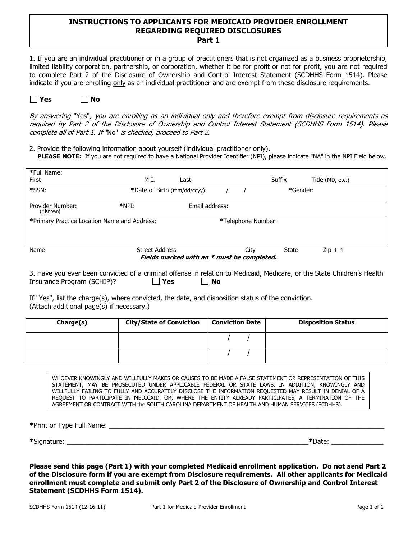### INSTRUCTIONS TO APPLICANTS FOR MEDICAID PROVIDER ENROLLMENT REGARDING REQUIRED DISCLOSURES Part 1

1. If you are an individual practitioner or in a group of practitioners that is not organized as a business proprietorship, limited liability corporation, partnership, or corporation, whether it be for profit or not for profit, you are not required to complete Part 2 of the Disclosure of Ownership and Control Interest Statement (SCDHHS Form 1514). Please indicate if you are enrolling only as an individual practitioner and are exempt from these disclosure requirements.



By answering "Yes", you are enrolling as an individual only and therefore exempt from disclosure requirements as required by Part 2 of the Disclosure of Ownership and Control Interest Statement (SCDHHS Form 1514). Please complete all of Part 1. If "No" is checked, proceed to Part 2.

2. Provide the following information about yourself (individual practitioner only). PLEASE NOTE: If you are not required to have a National Provider Identifier (NPI), please indicate "NA" in the NPI Field below.

| *Full Name:                                  |                              |                                            |                    |          |                  |
|----------------------------------------------|------------------------------|--------------------------------------------|--------------------|----------|------------------|
| First                                        | M.I.                         | Last                                       |                    | Suffix   | Title (MD, etc.) |
| *SSN:                                        | *Date of Birth (mm/dd/ccyy): |                                            |                    | *Gender: |                  |
|                                              |                              |                                            |                    |          |                  |
| Provider Number:<br>(If Known)               | $*NPI:$                      | Email address:                             |                    |          |                  |
| *Primary Practice Location Name and Address: |                              |                                            | *Telephone Number: |          |                  |
|                                              |                              |                                            |                    |          |                  |
|                                              |                              |                                            |                    |          |                  |
| Name                                         | <b>Street Address</b>        |                                            | City               | State    | $Zip + 4$        |
|                                              |                              | Fields marked with an * must be completed. |                    |          |                  |

3. Have you ever been convicted of a criminal offense in relation to Medicaid, Medicare, or the State Children's Health Insurance Program (SCHIP)?  $\Box$  Yes  $\Box$  No

If "Yes", list the charge(s), where convicted, the date, and disposition status of the conviction. (Attach additional page(s) if necessary.)

| Charge(s) | <b>City/State of Conviction</b> | <b>Conviction Date</b> | <b>Disposition Status</b> |
|-----------|---------------------------------|------------------------|---------------------------|
|           |                                 |                        |                           |
|           |                                 |                        |                           |

WHOEVER KNOWINGLY AND WILLFULLY MAKES OR CAUSES TO BE MADE A FALSE STATEMENT OR REPRESENTATION OF THIS STATEMENT, MAY BE PROSECUTED UNDER APPLICABLE FEDERAL OR STATE LAWS. IN ADDITION, KNOWINGLY AND WILLFULLY FAILING TO FULLY AND ACCURATELY DISCLOSE THE INFORMATION REQUESTED MAY RESULT IN DENIAL OF A REQUEST TO PARTICIPATE IN MEDICAID, OR, WHERE THE ENTITY ALREADY PARTICIPATES, A TERMINATION OF THE AGREEMENT OR CONTRACT WITH the SOUTH CAROLINA DEPARTMENT OF HEALTH AND HUMAN SERVICES (SCDHHS).

\*Print or Type Full Name: \_\_\_\_\_\_\_\_\_\_\_\_\_\_\_\_\_\_\_\_\_\_\_\_\_\_\_\_\_\_\_\_\_\_\_\_\_\_\_\_\_\_\_\_\_\_\_\_\_\_\_\_\_\_\_\_\_\_\_\_\_\_\_\_\_\_\_\_\_\_\_\_\_\_

\*Signature: \_\_\_\_\_\_\_\_\_\_\_\_\_\_\_\_\_\_\_\_\_\_\_\_\_\_\_\_\_\_\_\_\_\_\_\_\_\_\_\_\_\_\_\_\_\_\_\_\_\_\_\_\_\_\_\_\_\_\_\_\_\_\_\_\_\*Date: \_\_\_\_\_\_\_\_\_\_\_\_\_\_

Please send this page (Part 1) with your completed Medicaid enrollment application. Do not send Part 2 of the Disclosure form if you are exempt from Disclosure requirements. All other applicants for Medicaid enrollment must complete and submit only Part 2 of the Disclosure of Ownership and Control Interest Statement (SCDHHS Form 1514).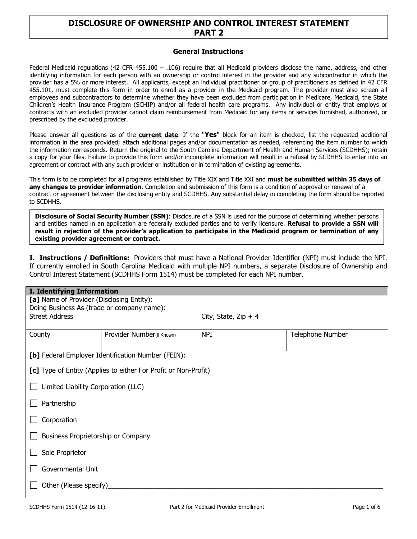# DISCLOSURE OF OWNERSHIP AND CONTROL INTEREST STATEMENT PART 2

#### General Instructions

Federal Medicaid regulations (42 CFR 455.100 – .106) require that all Medicaid providers disclose the name, address, and other identifying information for each person with an ownership or control interest in the provider and any subcontractor in which the provider has a 5% or more interest. All applicants, except an individual practitioner or group of practitioners as defined in 42 CFR 455.101, must complete this form in order to enroll as a provider in the Medicaid program. The provider must also screen all employees and subcontractors to determine whether they have been excluded from participation in Medicare, Medicaid, the State Children's Health Insurance Program (SCHIP) and/or all federal health care programs. Any individual or entity that employs or contracts with an excluded provider cannot claim reimbursement from Medicaid for any items or services furnished, authorized, or prescribed by the excluded provider.

Please answer all questions as of the **current date**. If the "Yes" block for an item is checked, list the requested additional information in the area provided; attach additional pages and/or documentation as needed, referencing the item number to which the information corresponds. Return the original to the South Carolina Department of Health and Human Services (SCDHHS); retain a copy for your files. Failure to provide this form and/or incomplete information will result in a refusal by SCDHHS to enter into an agreement or contract with any such provider or institution or in termination of existing agreements.

This form is to be completed for all programs established by Title XIX and Title XXI and must be submitted within 35 days of any changes to provider information. Completion and submission of this form is a condition of approval or renewal of a contract or agreement between the disclosing entity and SCDHHS. Any substantial delay in completing the form should be reported to SCDHHS.

Disclosure of Social Security Number (SSN): Disclosure of a SSN is used for the purpose of determining whether persons and entities named in an application are federally excluded parties and to verify licensure. Refusal to provide a SSN will result in rejection of the provider's application to participate in the Medicaid program or termination of any existing provider agreement or contract.

I. Instructions / Definitions: Providers that must have a National Provider Identifier (NPI) must include the NPI. If currently enrolled in South Carolina Medicaid with multiple NPI numbers, a separate Disclosure of Ownership and Control Interest Statement (SCDHHS Form 1514) must be completed for each NPI number.

|                                           |                                                                 |                       | <b>I. Identifying Information</b> |  |  |  |  |  |  |
|-------------------------------------------|-----------------------------------------------------------------|-----------------------|-----------------------------------|--|--|--|--|--|--|
| [a] Name of Provider (Disclosing Entity): |                                                                 |                       |                                   |  |  |  |  |  |  |
|                                           | Doing Business As (trade or company name):                      |                       |                                   |  |  |  |  |  |  |
| <b>Street Address</b>                     |                                                                 | City, State, Zip $+4$ |                                   |  |  |  |  |  |  |
|                                           |                                                                 |                       |                                   |  |  |  |  |  |  |
| County                                    | Provider Number(If Known)                                       | <b>NPI</b>            | Telephone Number                  |  |  |  |  |  |  |
|                                           |                                                                 |                       |                                   |  |  |  |  |  |  |
|                                           | [b] Federal Employer Identification Number (FEIN):              |                       |                                   |  |  |  |  |  |  |
|                                           |                                                                 |                       |                                   |  |  |  |  |  |  |
|                                           | [c] Type of Entity (Applies to either For Profit or Non-Profit) |                       |                                   |  |  |  |  |  |  |
| Limited Liability Corporation (LLC)       |                                                                 |                       |                                   |  |  |  |  |  |  |
|                                           |                                                                 |                       |                                   |  |  |  |  |  |  |
| Partnership                               |                                                                 |                       |                                   |  |  |  |  |  |  |
|                                           |                                                                 |                       |                                   |  |  |  |  |  |  |
| Corporation                               |                                                                 |                       |                                   |  |  |  |  |  |  |
|                                           |                                                                 |                       |                                   |  |  |  |  |  |  |
| Business Proprietorship or Company        |                                                                 |                       |                                   |  |  |  |  |  |  |
|                                           |                                                                 |                       |                                   |  |  |  |  |  |  |
|                                           | Sole Proprietor                                                 |                       |                                   |  |  |  |  |  |  |
| Governmental Unit                         |                                                                 |                       |                                   |  |  |  |  |  |  |
|                                           |                                                                 |                       |                                   |  |  |  |  |  |  |
| Other (Please specify)                    |                                                                 |                       |                                   |  |  |  |  |  |  |
|                                           |                                                                 |                       |                                   |  |  |  |  |  |  |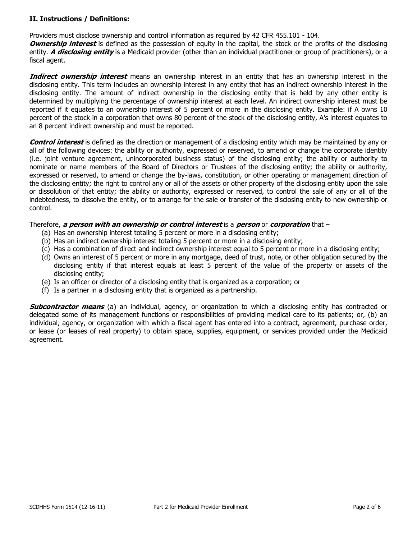# II. Instructions / Definitions:

Providers must disclose ownership and control information as required by 42 CFR 455.101 - 104.

**Ownership interest** is defined as the possession of equity in the capital, the stock or the profits of the disclosing entity. A *disclosing entity* is a Medicaid provider (other than an individual practitioner or group of practitioners), or a fiscal agent.

**Indirect ownership interest** means an ownership interest in an entity that has an ownership interest in the disclosing entity. This term includes an ownership interest in any entity that has an indirect ownership interest in the disclosing entity. The amount of indirect ownership in the disclosing entity that is held by any other entity is determined by multiplying the percentage of ownership interest at each level. An indirect ownership interest must be reported if it equates to an ownership interest of 5 percent or more in the disclosing entity. Example: if A owns 10 percent of the stock in a corporation that owns 80 percent of the stock of the disclosing entity, A's interest equates to an 8 percent indirect ownership and must be reported.

**Control interest** is defined as the direction or management of a disclosing entity which may be maintained by any or all of the following devices: the ability or authority, expressed or reserved, to amend or change the corporate identity (i.e. joint venture agreement, unincorporated business status) of the disclosing entity; the ability or authority to nominate or name members of the Board of Directors or Trustees of the disclosing entity; the ability or authority, expressed or reserved, to amend or change the by-laws, constitution, or other operating or management direction of the disclosing entity; the right to control any or all of the assets or other property of the disclosing entity upon the sale or dissolution of that entity; the ability or authority, expressed or reserved, to control the sale of any or all of the indebtedness, to dissolve the entity, or to arrange for the sale or transfer of the disclosing entity to new ownership or control.

### Therefore, a person with an ownership or control interest is a person or corporation that -

- (a) Has an ownership interest totaling 5 percent or more in a disclosing entity;
- (b) Has an indirect ownership interest totaling 5 percent or more in a disclosing entity;
- (c) Has a combination of direct and indirect ownership interest equal to 5 percent or more in a disclosing entity;
- (d) Owns an interest of 5 percent or more in any mortgage, deed of trust, note, or other obligation secured by the disclosing entity if that interest equals at least 5 percent of the value of the property or assets of the disclosing entity;
- (e) Is an officer or director of a disclosing entity that is organized as a corporation; or
- (f) Is a partner in a disclosing entity that is organized as a partnership.

**Subcontractor means** (a) an individual, agency, or organization to which a disclosing entity has contracted or delegated some of its management functions or responsibilities of providing medical care to its patients; or, (b) an individual, agency, or organization with which a fiscal agent has entered into a contract, agreement, purchase order, or lease (or leases of real property) to obtain space, supplies, equipment, or services provided under the Medicaid agreement.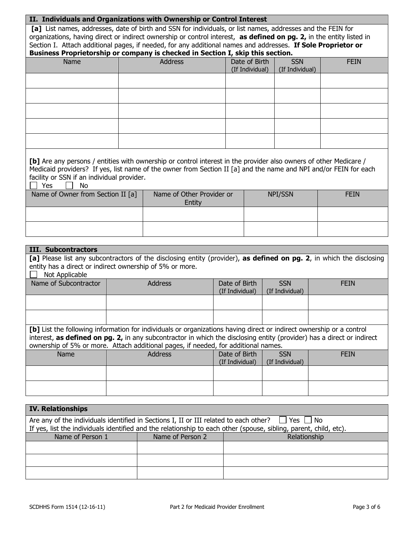### II. Individuals and Organizations with Ownership or Control Interest

[a] List names, addresses, date of birth and SSN for individuals, or list names, addresses and the FEIN for organizations, having direct or indirect ownership or control interest, as defined on pg. 2, in the entity listed in Section I. Attach additional pages, if needed, for any additional names and addresses. If Sole Proprietor or

| Business Proprietorship or company is checked in Section I, skip this section. |  |  |
|--------------------------------------------------------------------------------|--|--|
|                                                                                |  |  |

| Name | Address | Date of Birth $\vert$<br>(If Individual) | <b>SSN</b><br>(If Individual) | <b>FEIN</b> |
|------|---------|------------------------------------------|-------------------------------|-------------|
|      |         |                                          |                               |             |
|      |         |                                          |                               |             |
|      |         |                                          |                               |             |
|      |         |                                          |                               |             |
|      |         |                                          |                               |             |

| [b] Are any persons / entities with ownership or control interest in the provider also owners of other Medicare / |
|-------------------------------------------------------------------------------------------------------------------|
| Medicaid providers? If yes, list name of the owner from Section II [a] and the name and NPI and/or FEIN for each  |
| facility or SSN if an individual provider.                                                                        |

 $\Box$  Yes  $\Box$  No.

| .<br>.<br>Name of Owner from Section II [a] | Name of Other Provider or | NPI/SSN | <b>FEIN</b> |
|---------------------------------------------|---------------------------|---------|-------------|
|                                             | Entity                    |         |             |
|                                             |                           |         |             |
|                                             |                           |         |             |
|                                             |                           |         |             |
|                                             |                           |         |             |
|                                             |                           |         |             |

| <b>III. Subcontractors</b>                                                                                                                                                                                                                                                                                                           |                |                                  |                               |             |  |  |  |
|--------------------------------------------------------------------------------------------------------------------------------------------------------------------------------------------------------------------------------------------------------------------------------------------------------------------------------------|----------------|----------------------------------|-------------------------------|-------------|--|--|--|
| [a] Please list any subcontractors of the disclosing entity (provider), as defined on pg. 2, in which the disclosing<br>entity has a direct or indirect ownership of 5% or more.<br>Not Applicable                                                                                                                                   |                |                                  |                               |             |  |  |  |
| Name of Subcontractor                                                                                                                                                                                                                                                                                                                | <b>Address</b> | Date of Birth<br>(If Individual) | <b>SSN</b><br>(If Individual) | <b>FEIN</b> |  |  |  |
|                                                                                                                                                                                                                                                                                                                                      |                |                                  |                               |             |  |  |  |
|                                                                                                                                                                                                                                                                                                                                      |                |                                  |                               |             |  |  |  |
| [b] List the following information for individuals or organizations having direct or indirect ownership or a control<br>interest, as defined on pg. 2, in any subcontractor in which the disclosing entity (provider) has a direct or indirect<br>ownership of 5% or more. Attach additional pages, if needed, for additional names. |                |                                  |                               |             |  |  |  |
| <b>Address</b><br>Date of Birth<br>Name<br><b>SSN</b><br><b>FEIN</b><br>(If Individual)<br>(If Individual)                                                                                                                                                                                                                           |                |                                  |                               |             |  |  |  |
|                                                                                                                                                                                                                                                                                                                                      |                |                                  |                               |             |  |  |  |
|                                                                                                                                                                                                                                                                                                                                      |                |                                  |                               |             |  |  |  |
|                                                                                                                                                                                                                                                                                                                                      |                |                                  |                               |             |  |  |  |

| <b>IV. Relationships</b>                                                                            |                                  |                                                                                                                   |  |  |  |  |  |
|-----------------------------------------------------------------------------------------------------|----------------------------------|-------------------------------------------------------------------------------------------------------------------|--|--|--|--|--|
| Are any of the individuals identified in Sections I, II or III related to each other?<br>Yes I I No |                                  |                                                                                                                   |  |  |  |  |  |
|                                                                                                     |                                  | If yes, list the individuals identified and the relationship to each other (spouse, sibling, parent, child, etc). |  |  |  |  |  |
| Name of Person 1                                                                                    | Name of Person 2<br>Relationship |                                                                                                                   |  |  |  |  |  |
|                                                                                                     |                                  |                                                                                                                   |  |  |  |  |  |
|                                                                                                     |                                  |                                                                                                                   |  |  |  |  |  |
|                                                                                                     |                                  |                                                                                                                   |  |  |  |  |  |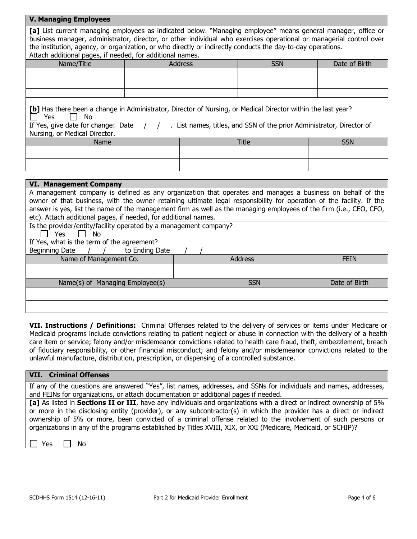| <b>V. Managing Employees</b>                                                                                                                                                                                                                                                                                                                                                                                               |  |                |              |               |  |  |
|----------------------------------------------------------------------------------------------------------------------------------------------------------------------------------------------------------------------------------------------------------------------------------------------------------------------------------------------------------------------------------------------------------------------------|--|----------------|--------------|---------------|--|--|
| [a] List current managing employees as indicated below. "Managing employee" means general manager, office or<br>business manager, administrator, director, or other individual who exercises operational or managerial control over<br>the institution, agency, or organization, or who directly or indirectly conducts the day-to-day operations.                                                                         |  |                |              |               |  |  |
| Attach additional pages, if needed, for additional names.                                                                                                                                                                                                                                                                                                                                                                  |  |                |              |               |  |  |
| Name/Title                                                                                                                                                                                                                                                                                                                                                                                                                 |  | <b>Address</b> | <b>SSN</b>   | Date of Birth |  |  |
|                                                                                                                                                                                                                                                                                                                                                                                                                            |  |                |              |               |  |  |
|                                                                                                                                                                                                                                                                                                                                                                                                                            |  |                |              |               |  |  |
|                                                                                                                                                                                                                                                                                                                                                                                                                            |  |                |              |               |  |  |
| [b] Has there been a change in Administrator, Director of Nursing, or Medical Director within the last year?<br>Yes<br>No<br>If Yes, give date for change: Date $\frac{1}{1}$ , List names, titles, and SSN of the prior Administrator, Director of<br>Nursing, or Medical Director.                                                                                                                                       |  |                |              |               |  |  |
| Name                                                                                                                                                                                                                                                                                                                                                                                                                       |  |                | <b>Title</b> | <b>SSN</b>    |  |  |
|                                                                                                                                                                                                                                                                                                                                                                                                                            |  |                |              |               |  |  |
|                                                                                                                                                                                                                                                                                                                                                                                                                            |  |                |              |               |  |  |
|                                                                                                                                                                                                                                                                                                                                                                                                                            |  |                |              |               |  |  |
| <b>VI. Management Company</b>                                                                                                                                                                                                                                                                                                                                                                                              |  |                |              |               |  |  |
| A management company is defined as any organization that operates and manages a business on behalf of the<br>owner of that business, with the owner retaining ultimate legal responsibility for operation of the facility. If the<br>answer is yes, list the name of the management firm as well as the managing employees of the firm (i.e., CEO, CFO,<br>etc). Attach additional pages, if needed, for additional names. |  |                |              |               |  |  |
| Is the provider/entity/facility operated by a management company?<br>Yes<br>No                                                                                                                                                                                                                                                                                                                                             |  |                |              |               |  |  |

If Yes, what is the term of the agreement?

Beginning Date / / to Ending Date / /

| pogmania paco<br>$\sim$ Liging Date |  |                |               |
|-------------------------------------|--|----------------|---------------|
| Name of Management Co.              |  | <b>Address</b> | <b>FEIN</b>   |
|                                     |  |                |               |
|                                     |  |                |               |
| Name(s) of Managing Employee(s)     |  | <b>SSN</b>     | Date of Birth |
|                                     |  |                |               |
|                                     |  |                |               |
|                                     |  |                |               |
|                                     |  |                |               |

VII. Instructions / Definitions: Criminal Offenses related to the delivery of services or items under Medicare or Medicaid programs include convictions relating to patient neglect or abuse in connection with the delivery of a health care item or service; felony and/or misdemeanor convictions related to health care fraud, theft, embezzlement, breach of fiduciary responsibility, or other financial misconduct; and felony and/or misdemeanor convictions related to the unlawful manufacture, distribution, prescription, or dispensing of a controlled substance.

#### VII. Criminal Offenses

If any of the questions are answered "Yes", list names, addresses, and SSNs for individuals and names, addresses, and FEINs for organizations, or attach documentation or additional pages if needed.

[a] As listed in Sections II or III, have any individuals and organizations with a direct or indirect ownership of 5% or more in the disclosing entity (provider), or any subcontractor(s) in which the provider has a direct or indirect ownership of 5% or more, been convicted of a criminal offense related to the involvement of such persons or organizations in any of the programs established by Titles XVIII, XIX, or XXI (Medicare, Medicaid, or SCHIP)?

|  | $\alpha$ |  | N٥ |
|--|----------|--|----|
|--|----------|--|----|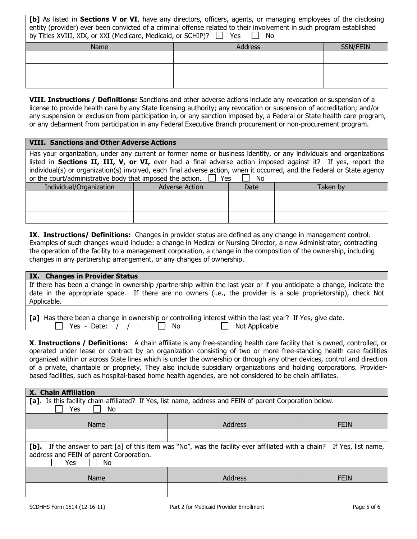| [b] As listed in Sections V or VI, have any directors, officers, agents, or managing employees of the disclosing     |  |  |
|----------------------------------------------------------------------------------------------------------------------|--|--|
| entity (provider) ever been convicted of a criminal offense related to their involvement in such program established |  |  |
| by Titles XVIII, XIX, or XXI (Medicare, Medicaid, or SCHIP)? $\Box$ Yes $\Box$ No                                    |  |  |

| Name | Address | SSN/FEIN |
|------|---------|----------|
|      |         |          |
|      |         |          |
|      |         |          |

VIII. Instructions / Definitions: Sanctions and other adverse actions include any revocation or suspension of a license to provide health care by any State licensing authority; any revocation or suspension of accreditation; and/or any suspension or exclusion from participation in, or any sanction imposed by, a Federal or State health care program, or any debarment from participation in any Federal Executive Branch procurement or non-procurement program.

## VIII. Sanctions and Other Adverse Actions

Has your organization, under any current or former name or business identity, or any individuals and organizations listed in Sections II, III, V, or VI, ever had a final adverse action imposed against it? If yes, report the individual(s) or organization(s) involved, each final adverse action, when it occurred, and the Federal or State agency or the court/administrative body that imposed the action.  $\Box$  Yes  $\Box$  No

| Individual/Organization | <b>Adverse Action</b> | Date | Taken by |
|-------------------------|-----------------------|------|----------|
|                         |                       |      |          |
|                         |                       |      |          |
|                         |                       |      |          |

IX. Instructions/ Definitions: Changes in provider status are defined as any change in management control. Examples of such changes would include: a change in Medical or Nursing Director, a new Administrator, contracting the operation of the facility to a management corporation, a change in the composition of the ownership, including changes in any partnership arrangement, or any changes of ownership.

#### IX. Changes in Provider Status

If there has been a change in ownership /partnership within the last year or if you anticipate a change, indicate the date in the appropriate space. If there are no owners (i.e., the provider is a sole proprietorship), check Not Applicable.

|                    |      | [a] Has there been a change in ownership or controlling interest within the last year? If Yes, give date. |  |
|--------------------|------|-----------------------------------------------------------------------------------------------------------|--|
| $\Box$ Yes - Date: | - No | $\Box$ Not Applicable                                                                                     |  |

**X. Instructions / Definitions:** A chain affiliate is any free-standing health care facility that is owned, controlled, or operated under lease or contract by an organization consisting of two or more free-standing health care facilities organized within or across State lines which is under the ownership or through any other devices, control and direction of a private, charitable or propriety. They also include subsidiary organizations and holding corporations. Providerbased facilities, such as hospital-based home health agencies, are not considered to be chain affiliates.

| X. Chain Affiliation                                                                                                                                                               |         |             |  |  |
|------------------------------------------------------------------------------------------------------------------------------------------------------------------------------------|---------|-------------|--|--|
| [a]. Is this facility chain-affiliated? If Yes, list name, address and FEIN of parent Corporation below.<br>Yes<br>No.                                                             |         |             |  |  |
| Name                                                                                                                                                                               | Address | <b>FEIN</b> |  |  |
|                                                                                                                                                                                    |         |             |  |  |
| If the answer to part [a] of this item was "No", was the facility ever affiliated with a chain? If Yes, list name,<br>[b].<br>address and FEIN of parent Corporation.<br>Yes<br>No |         |             |  |  |
| Name                                                                                                                                                                               | Address | <b>FEIN</b> |  |  |
|                                                                                                                                                                                    |         |             |  |  |